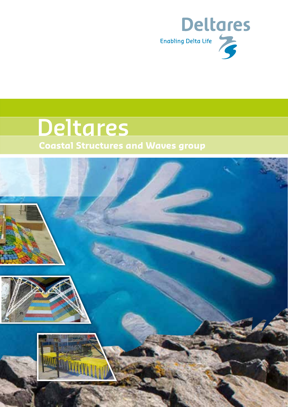

# **Deltares Coastal Structures and Waves group**

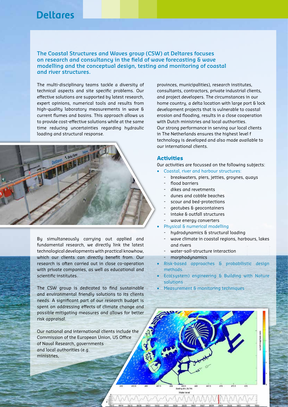**The Coastal Structures and Waves group (CSW) at Deltares focuses on research and consultancy in the field of wave forecasting & wave modelling and the conceptual design, testing and monitoring of coastal and river structures.**

The multi-disciplinary teams tackle a diversity of technical aspects and site specific problems. Our effective solutions are supported by latest research, expert opinions, numerical tools and results from high-quality laboratory measurements in wave & current flumes and basins. This approach allows us to provide cost-effective solutions while at the same time reducing uncertainties regarding hydraulic loading and structural response.



By simultaneously carrying out applied and fundamental research, we directly link the latest technological developments with practical knowhow, which our clients can directly benefit from. Our research is often carried out in close co-operation with private companies, as well as educational and scientific institutes.

The CSW group is dedicated to find sustainable and environmental friendly solutions to its clients needs. A significant part of our research budget is spent on addressing effects of climate change and possible mitigating measures and allows for better risk appraisal.

Our national and international clients include the Commission of the European Union, US Office of Naval Research, governments and local authorities (e.g. ministries,

provinces, municipalities), research institutes, consultants, contractors, private industrial clients, and project developers. The circumstances in our home country, a delta location with large port & lock development projects that is vulnerable to coastal erosion and flooding, results in a close cooperation with Dutch ministries and local authorities. Our strong performance in serving our local clients in The Netherlands ensures the highest level f technology is developed and also made available to our international clients.

### **Activities**

0ur activities are focussed on the following subjects:

- Coastal, river and harbour structures:
	- breakwaters, piers, jetties, groynes, quays
	- flood barriers
	- dikes and revetments
	- dunes and cobble beaches
	- scour and bed-protections
	- geotubes & geocontainers
	- intake & outfall structures
	- wave energy converters
	- Physical & numerical modelling
	- hydrodynamics & structural loading
	- wave climate in coastal regions, harbours, lakes and rivers
	- water-soil-structure interaction
	- morphodynamics

Easting (tim. OLTM) Water level

- Risk-based approaches & probabilistic design methods.
- Eco(system) engineering & Building with Nature solutions
- Measurement & monitoring techniques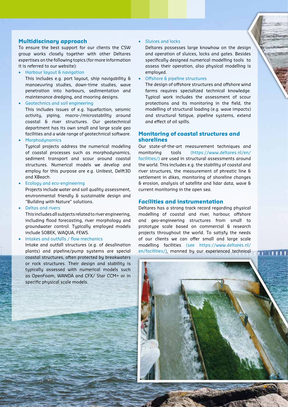#### **Multidiscinary approach**

To ensure the best support for our clients the CSW group works closely together with other Deltares expertises on the following topics (for more information it is referred to our website):

• Harbour layout & navigation

This includes e.g. port layout, ship navigability & manoeuvring studies, down-time studies, wave penetration into harbours, sedimentation and maintenance dredging, and mooring designs.

• Geotechnics and soil engineering

This includes issues of e.g. liquefaction, seismic activity, piping, macro-/microstability around coastal & river structures. Our geotechnical department has its own small and large scale geo facilities and a wide range of geotechnical software.

**Morphodynamics** 

Typical projects address the numerical modeling of coastal processes such as morphodynamics, sediment transport and scour around coastal structures. Numerical models we develop and employ for this purpose are e.g. Unibest, Delft3D and XBeach.

• Ecology and eco-engineering

Projects include water and soil quality assessment, environmental friendly & sustainable design and "Building with Nature" solutions.

• Deltas and rivers

This includes all subjects related to river engineering, including flood forecasting, river morphology and groundwater control. Typically employed models include SOBEK, WAQUA, FEWS.

• Intakes and outfalls / flow mechanics

Intake and outfall structures (e.g. of desalination plants) and pipeline/pump systems are special coastal structures, often protected by breakwaters or rock structures. Their design and stability is typically assessed with numerical models such as OpenFoam, WANDA and CFX/ Star CCM+ or in specific physical scale models.

#### • Sluices and locks

Deltares possesses large knowhow on the design and operation of sluices, locks and gates. Besides specifically designed numerical modelling tools to assess their operation, also physical modelling is employed.

• Offshore & pipeline structures

The design of offshore structures and offshore wind farms requires specialized technical knowledge. Typical work includes the assessment of scour protections and its monitoring in the field, the modelling of structural loading (e.g. wave impacts) and structural fatigue, pipeline systems, extend and effect of oil spills.

### **Monitoring of coastal structures and shorelines**

Our state-of-the-art measurement techniques and monitoring tools (https://www.deltares.nl/en/ facilities/) are used in structural assessments around the world. This includes e.g. the stability of coastal and river structures, the measurement of phreatic line & settlement in dikes, monitoring of shoreline changes & erosion, analysis of satellite and lidar data, wave & current monitoring in the open sea.

#### **Facilities and instrumentation**

Deltares has a strong track record regarding physical modelling of coastal and river, harbour, offshore and geo-engineering structures from small to prototype scale based on commercial & research projects throughout the world. To satisfy the needs of our clients we can offer small and large scale modelling facilities (see https://www.deltares.nl/ en/facilities/), manned by our experienced technical

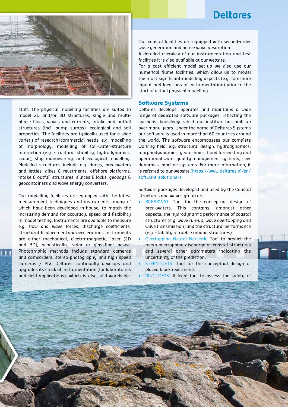

staff. The physical modelling facilities are suited to model 2D and/or 3D structures, single and multiphase flows, waves and currents, intake and outfall structures (incl. pump sumps), ecological and soil properties. The facilities are typically used for a wide variety of research/commercial needs, e.g. modelling of morphology, modelling of soil-water-structure interaction (e.g. structural stability, hydrodynamics, scour), ship manoevering, and ecological modelling. Modelled structures include e.g. dunes, breakwaters and jetties, dikes & revetments, offshore platforms, intake & outfall structures, sluices & locks, geobags & geocontainers and wave energy converters.

Our modelling facilities are equipped with the latest measurement techniques and instruments, many of which have been developed in-house, to match the increasing demand for accuracy, speed and flexibility in model testing. Instruments are available to measure e.g. flow and wave forces, discharge coefficients, structural displacement and accelerations. Instruments are either mechanical, electro-magnetic, laser (2D and 3D), acoustically, radar or glassfiber based. Photographic methods include standard cameras and camcorders, stereo-photography and high speed cameras / PIV. Deltares continually develops and upgrades its stock of instrumentation (for laboratories and field applications), which is also sold worldwide. Our coastal facilities are equipped with second-order wave generation and active wave absorption.

A detailed overview of our instrumentation and test facilities it is also available at our website.

For a cost efficient model set-up we also use our numerical flume facilities, which allow us to model the most significant modelling aspects (e.g. foreshore layout and locations of instrumentation) prior to the start of actual physical modelling.

#### **Software Systems**

Deltares develops, operates and maintains a wide range of dedicated software packages, reflecting the specialist knowledge which our institute has built up over many years. Under the name of Deltares Systems our software is used in more than 60 countries around the world. The software encompasses our complete working field, e.g. structural design, hydrodynamics, morphodyanamics, geotechnics, flood forecasting and operational water quality management systems, river dynamics, pipeline systems. For more information, it is referred to our website (https://www.deltares.nl/en/ software-solutions/)

Software packages developed and used by the Coastal structures and waves group are:

- BREAKWAT: Tool for the conceptual design of breakwaters. This contains, amongst other aspects, the hydrodynamic performance of coastal structures (e.g. wave run-up, wave overtopping and wave transmission) and the structural performance (e.g. stability of rubble mound structures)
- Overtopping Neural Network: Tool to predict the mean overtopping discharge at coastal structures and several other parameters indicating the uncertainty of the prediction.
- STEENTOETS: Tool for the conceptual design of placed block revetments
- RINGTOETS: A legal tool to assess the safety of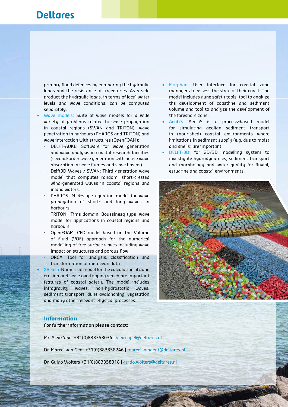primary flood defences by comparing the hydraulic loads and the resistance of trajectories. As a side product the hydraulic loads, in terms of local water levels and wave conditions, can be computed separately.

- Wave models: Suite of wave models for a wide variety of problems related to wave propagation in coastal regions (SWAN and TRITON), wave penetration in harbours (PHAROS and TRITON) and wave interaction with structures (OpenFOAM):
	- DELFT-AUKE: Software for wave generation and wave analysis in coastal research facilities (second-order wave generation with active wave absorption in wave flumes and wave basins)
	- Delft3D-Waves / SWAN: Third-generation wave model that computes random, short-crested wind-generated waves in coastal regions and inland waters.
	- PHAROS: Mild-slope equation model for wave propagation of short- and long waves in harbours
	- TRITON: Time-domain Boussinesq-type wave model for applications in coastal regions and harbours
	- OpenFOAM: CFD model based on the Volume of Fluid (VOF) approach for the numerical modelling of free surface waves including wave impact on structures and porous flow.
	- ORCA: Tool for analysis, classification and transformation of metocean data
	- XBeach: Numerical model for the calculation of dune erosion and wave overtopping which are important features of coastal safety. The model includes infragravity waves, non-hydrostatic waves, sediment transport, dune avalanching, vegetation and many other relevant physical processes.
- Morphan: User Interface for coastal zone managers to assess the state of their coast. The model includes dune safety tools, tool to analyze the development of coastline and sediment volume and tool to analyze the development of the foreshore zone.
- AeoLiS: AeoLiS is a process-based model for simulating aeolian sediment transport in (nourished) coastal environments where limitations in sediment supply (e.g. due to moist and shells) are important.
- DELFT-3D: for 2D/3D modelling system to investigate hydrodynamics, sediment transport and morphology and water quality for fluvial, estuarine and coastal environments.



#### **Information**

**For further information please contact:** 

Mr. Alex Capel +31(0)883358034 | alex.capel@deltares.nl

Dr. Marcel van Gent +31(0)883358246 | marcel.vangent@deltares.nl

Dr. Guido Wolters +31(0)883358318 | guido.wolters@deltares.nl